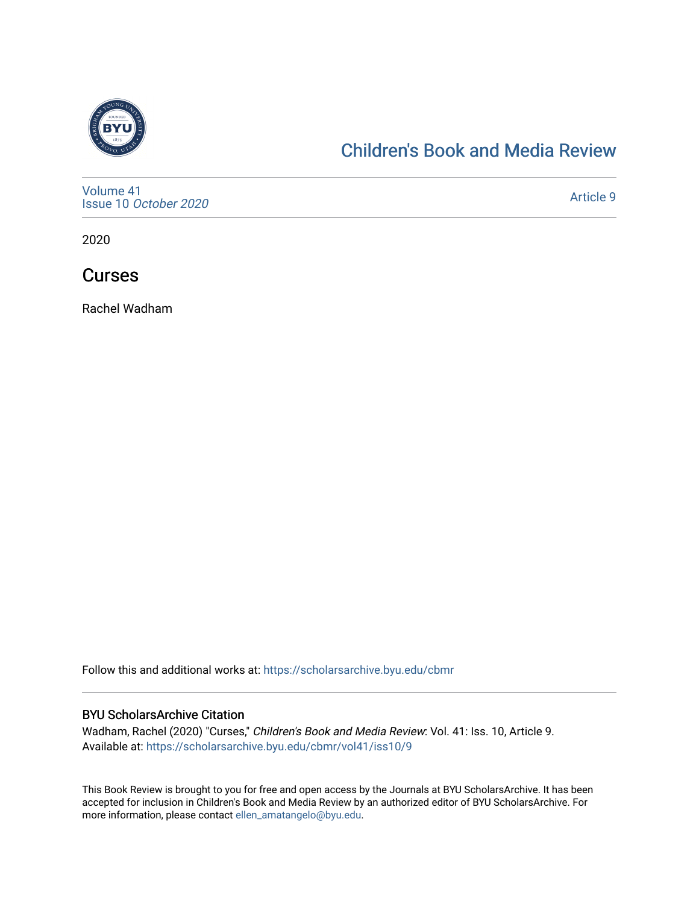

### [Children's Book and Media Review](https://scholarsarchive.byu.edu/cbmr)

[Volume 41](https://scholarsarchive.byu.edu/cbmr/vol41) Issue 10 [October 2020](https://scholarsarchive.byu.edu/cbmr/vol41/iss10)

[Article 9](https://scholarsarchive.byu.edu/cbmr/vol41/iss10/9) 

2020

**Curses** 

Rachel Wadham

Follow this and additional works at: [https://scholarsarchive.byu.edu/cbmr](https://scholarsarchive.byu.edu/cbmr?utm_source=scholarsarchive.byu.edu%2Fcbmr%2Fvol41%2Fiss10%2F9&utm_medium=PDF&utm_campaign=PDFCoverPages) 

#### BYU ScholarsArchive Citation

Wadham, Rachel (2020) "Curses," Children's Book and Media Review: Vol. 41: Iss. 10, Article 9. Available at: [https://scholarsarchive.byu.edu/cbmr/vol41/iss10/9](https://scholarsarchive.byu.edu/cbmr/vol41/iss10/9?utm_source=scholarsarchive.byu.edu%2Fcbmr%2Fvol41%2Fiss10%2F9&utm_medium=PDF&utm_campaign=PDFCoverPages)

This Book Review is brought to you for free and open access by the Journals at BYU ScholarsArchive. It has been accepted for inclusion in Children's Book and Media Review by an authorized editor of BYU ScholarsArchive. For more information, please contact [ellen\\_amatangelo@byu.edu.](mailto:ellen_amatangelo@byu.edu)